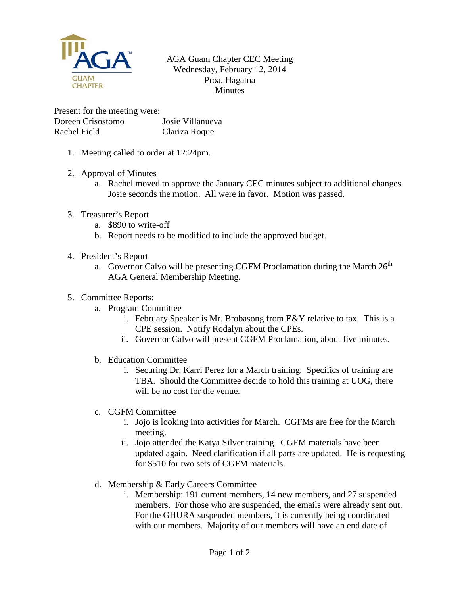

## AGA Guam Chapter CEC Meeting Wednesday, February 12, 2014 Proa, Hagatna Minutes

Present for the meeting were: Doreen Crisostomo Josie Villanueva Rachel Field Clariza Roque

- 1. Meeting called to order at 12:24pm.
- 2. Approval of Minutes
	- a. Rachel moved to approve the January CEC minutes subject to additional changes. Josie seconds the motion. All were in favor. Motion was passed.
- 3. Treasurer's Report
	- a. \$890 to write-off
	- b. Report needs to be modified to include the approved budget.
- 4. President's Report
	- a. Governor Calvo will be presenting CGFM Proclamation during the March  $26<sup>th</sup>$ AGA General Membership Meeting.
- 5. Committee Reports:
	- a. Program Committee
		- i. February Speaker is Mr. Brobasong from E&Y relative to tax. This is a CPE session. Notify Rodalyn about the CPEs.
		- ii. Governor Calvo will present CGFM Proclamation, about five minutes.
	- b. Education Committee
		- i. Securing Dr. Karri Perez for a March training. Specifics of training are TBA. Should the Committee decide to hold this training at UOG, there will be no cost for the venue.
	- c. CGFM Committee
		- i. Jojo is looking into activities for March. CGFMs are free for the March meeting.
		- ii. Jojo attended the Katya Silver training. CGFM materials have been updated again. Need clarification if all parts are updated. He is requesting for \$510 for two sets of CGFM materials.
	- d. Membership & Early Careers Committee
		- i. Membership: 191 current members, 14 new members, and 27 suspended members. For those who are suspended, the emails were already sent out. For the GHURA suspended members, it is currently being coordinated with our members. Majority of our members will have an end date of